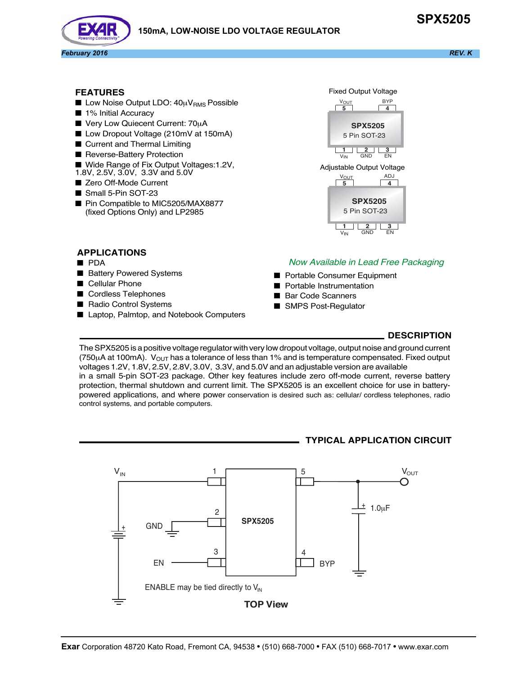# **150mA, LOW-NOISE LDO VOLTAGE REGULATOR**





#### **FEATURES**

- **Low Noise Output LDO:**  $40\mu V_{RMS}$  **Possible**
- 1% Initial Accuracy
- Very Low Quiecent Current: 70µA
- Low Dropout Voltage (210mV at 150mA)
- Current and Thermal Limiting
- Reverse-Battery Protection
- Wide Range of Fix Output Voltages:1.2V,
- 1.8V, 2.5V, 3.0V, 3.3V and 5.0V
- Zero Off-Mode Current
- Small 5-Pin SOT-23
- Pin Compatible to MIC5205/MAX8877 (fixed Options Only) and LP2985

 $\begin{array}{|c|c|c|c|c|}\hline \text{5} & \text{4} \end{array}$ 1 2 3<br>IN GND EN **SPX5205** 5 Pin SOT-23 VIN BYP **VOUT**  $\frac{1}{4}$  $\frac{V_{\text{OUT}}}{5}$  ADJ Fixed Output Voltage Adjustable Output Voltage



## **APPLICATIONS**

- PDA
- Battery Powered Systems
- Cellular Phone
- Cordless Telephones
- Radio Control Systems
- Laptop, Palmtop, and Notebook Computers

## Now Available in Lead Free Packaging

- Portable Consumer Equipment
- **Portable Instrumentation**
- Bar Code Scanners
- SMPS Post-Requlator

### **DESCRIPTION**

The SPX5205 is a positive voltage regulator with very low dropout voltage, output noise and ground current (750 $\mu$ A at 100mA).  $V_{\text{OUT}}$  has a tolerance of less than 1% and is temperature compensated. Fixed output voltages 1.2V, 1.8V, 2.5V, 2.8V, 3.0V, 3.3V, and 5.0V and an adjustable version are available in a small 5-pin SOT-23 package. Other key features include zero off-mode current, reverse battery protection, thermal shutdown and current limit. The SPX5205 is an excellent choice for use in batterypowered applications, and where power conservation is desired such as: cellular/ cordless telephones, radio control systems, and portable computers.

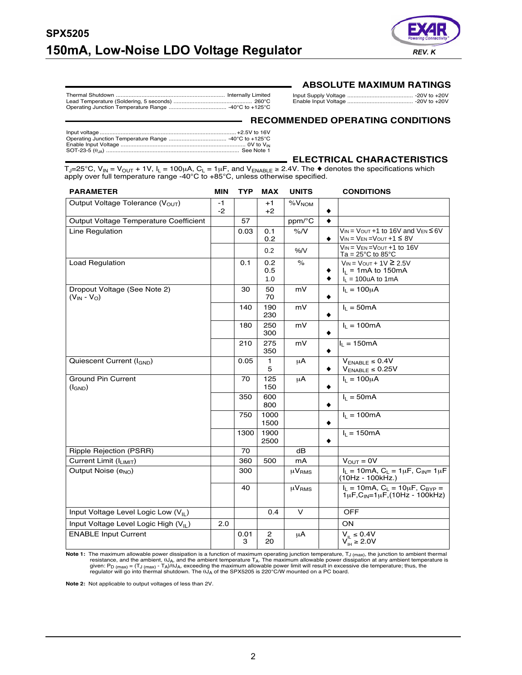

### **ABSOLUTE MAXIMUM RATINGS**

Thermal Shutdown .................................................................... Internally Limited Lead Temperature (Soldering, 5 seconds) ................................................. 260°C Operating Junction Temperature Range .................................... -40°C to +125°C

Input Supply Voltage ......................................... -20V to +20V Enable Input Voltage ......................................... -20V to +20V

#### **RECOMMENDED OPERATING CONDITIONS**

# **ELECTRICAL CHARACTERISTICS**

 $T_J=25^{\circ}$ C, V<sub>IN</sub> = V<sub>OUT</sub> + 1V, I<sub>L</sub> = 100μA, C<sub>L</sub> = 1μF, and V<sub>ENABLE</sub> ≥ 2.4V. The ◆ denotes the specifications which apply over full temperature range -40°C to +85°C, unless otherwise specified.

| <b>PARAMETER</b>                                   | MIN        | TYP       | <b>MAX</b>           | <b>UNITS</b>           | <b>CONDITIONS</b>                                                                                     |
|----------------------------------------------------|------------|-----------|----------------------|------------------------|-------------------------------------------------------------------------------------------------------|
| Output Voltage Tolerance (V <sub>OUT</sub> )       | -1<br>$-2$ |           | $+1$<br>$+2$         | %V <sub>NOM</sub>      | ٠                                                                                                     |
| Output Voltage Temperature Coefficient             |            | 57        |                      | ppm/°C                 | ٠                                                                                                     |
| Line Regulation                                    |            | 0.03      | 0.1<br>0.2           | %N                     | $V_{IN}$ = $V_{OUT}$ +1 to 16V and $V_{EN}$ $\leq$ 6V<br>$V_{IN} = V_{EN} = V_{OUT} + 1 \leq 8V$<br>٠ |
|                                                    |            |           | 0.2                  | %N                     | $V_{IN}$ = $V_{EN}$ = $V_{OUT}$ +1 to 16V<br>Ta = $25^{\circ}$ C to 85 $^{\circ}$ C                   |
| Load Regulation                                    |            | 0.1       | 0.2<br>0.5<br>1.0    | $\%$                   | $V_{IN} = V_{OUT} + 1V \ge 2.5V$<br>$I_1 = 1 \text{mA}$ to 150 mA<br>٠<br>$I_L$ = 100uA to 1mA<br>٠   |
| Dropout Voltage (See Note 2)<br>$(V_{IN} - V_{O})$ |            | 30        | 50<br>70             | mV                     | $I_L = 100 \mu A$<br>٠                                                                                |
|                                                    |            | 140       | 190<br>230           | mV                     | $I_L = 50mA$                                                                                          |
|                                                    |            | 180       | 250<br>300           | mV                     | $I_L = 100mA$<br>٠                                                                                    |
|                                                    |            | 210       | 275<br>350           | mV                     | $I_L = 150mA$<br>٠                                                                                    |
| Quiescent Current (I <sub>GND</sub> )              |            | 0.05      | 1<br>5               | μA                     | $V_{ENABLE} \leq 0.4V$<br>$V_{ENABLE} \leq 0.25V$                                                     |
| <b>Ground Pin Current</b><br>$(I_{GND})$           |            | 70        | 125<br>150           | μA                     | $I_L = 100 \mu A$<br>٠                                                                                |
|                                                    |            | 350       | 600<br>800           |                        | $I_L = 50mA$<br>٠                                                                                     |
|                                                    |            | 750       | 1000<br>1500         |                        | $I_L = 100mA$<br>٠                                                                                    |
|                                                    |            | 1300      | 1900<br>2500         |                        | $I_L = 150mA$<br>٠                                                                                    |
| Ripple Rejection (PSRR)                            |            | 70        |                      | dB                     |                                                                                                       |
| Current Limit (I <sub>LIMIT</sub> )                |            | 360       | 500                  | mA                     | $V_{OUT} = 0V$                                                                                        |
| Output Noise (e <sub>NO</sub> )                    |            | 300       |                      | $\mu V_{RMS}$          | $I_L = 10$ mA, $C_L = 1 \mu F$ , $C_{IN} = 1 \mu F$<br>(10Hz - 100kHz.)                               |
|                                                    |            | 40        |                      | $\mu$ V <sub>RMS</sub> | $I_L = 10mA, C_L = 10\mu F, C_{BYP} =$<br>$1 \mu F, C_{1N} = 1 \mu F, (10 Hz - 100 kHz)$              |
| Input Voltage Level Logic Low (V <sub>II</sub> )   |            |           | 0.4                  | $\vee$                 | <b>OFF</b>                                                                                            |
| Input Voltage Level Logic High (V <sub>II</sub> )  | 2.0        |           |                      |                        | <b>ON</b>                                                                                             |
| <b>ENABLE Input Current</b>                        |            | 0.01<br>3 | $\overline{2}$<br>20 | μA                     | $V_{\parallel} \leq 0.4V$<br>$V_{\text{IH}}^{\text{IL}} \geq 2.0 V$                                   |

Note 1: The maximum allowable power dissipation is a function of maximum operating junction temperature, T<sub>J (max)</sub>, the junction to ambient thermal<br>resistance, and the ambient,  $\theta$ J<sub>A</sub>, and the ambient temperature T<sub>A</sub>. given: P<sub>D (max)</sub> = (T<sub>J (max)</sub> - T<sub>A</sub>)/θJ<sub>A</sub>, exceeding the maximum allowable power limit will result in excessive die temperature; thus, the<br>regulator will go into thermal shutdown. The θJ<sub>A</sub> of the SPX5205 is 220°C/W m

**Note 2:** Not applicable to output voltages of less than 2V.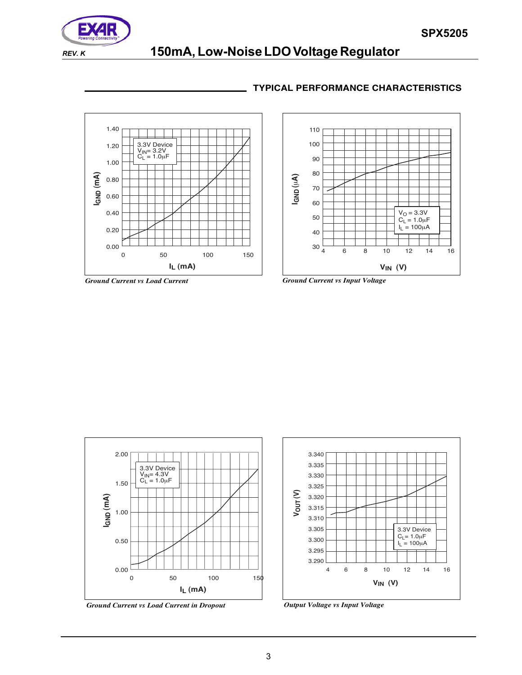

# **REV. K 150mA, Low-Noise LDO Voltage Regulator**

# **TYPICAL PERFORMANCE CHARACTERISTICS**









*Ground Current vs Load Current in Dropout Output Voltage vs Input Voltage*

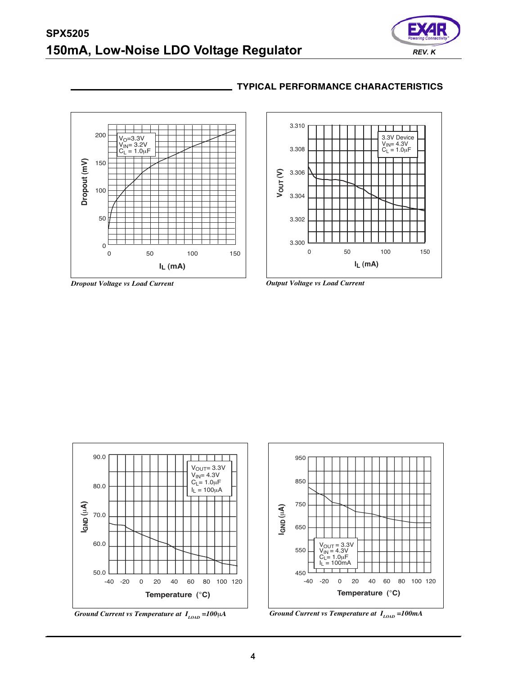# **SPX5205 150mA, Low-Noise LDO Voltage Regulator** *REV. K*





### **TYPICAL PERFORMANCE CHARACTERISTICS**









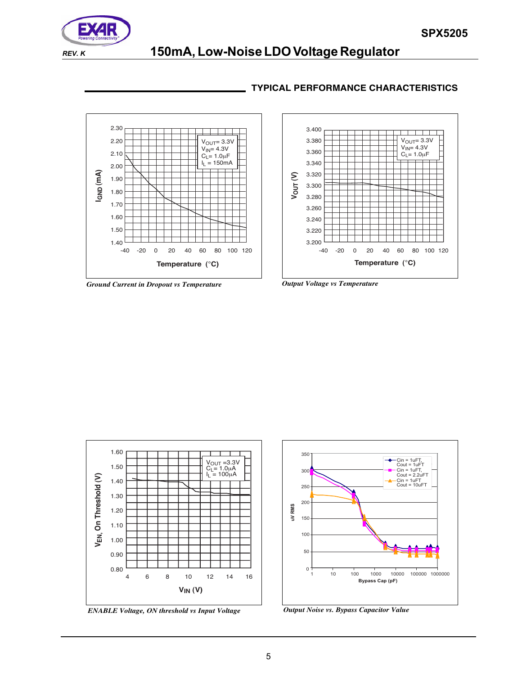

# **REV. K 150mA, Low-Noise LDO Voltage Regulator**

# **TYPICAL PERFORMANCE CHARACTERISTICS**



*Ground Current in Dropout vs Temperature Output Voltage vs Temperature*







*ENABLE Voltage, ON threshold vs Input Voltage Output Noise vs. Bypass Capacitor Value*

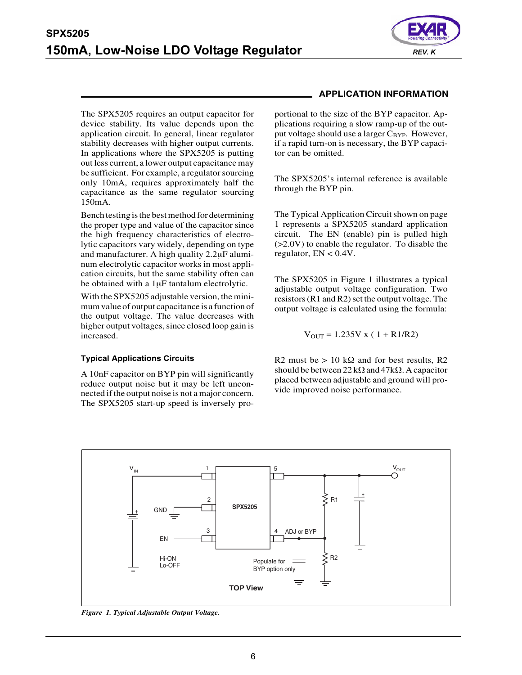

The SPX5205 requires an output capacitor for device stability. Its value depends upon the application circuit. In general, linear regulator stability decreases with higher output currents. In applications where the SPX5205 is putting out less current, a lower output capacitance may be sufficient. For example, a regulator sourcing only 10mA, requires approximately half the capacitance as the same regulator sourcing 150mA.

Bench testing is the best method for determining the proper type and value of the capacitor since the high frequency characteristics of electrolytic capacitors vary widely, depending on type and manufacturer. A high quality 2.2μF aluminum electrolytic capacitor works in most application circuits, but the same stability often can be obtained with a 1μF tantalum electrolytic.

With the SPX5205 adjustable version, the minimum value of output capacitance is a function of the output voltage. The value decreases with higher output voltages, since closed loop gain is increased.

#### **Typical Applications Circuits**

A 10nF capacitor on BYP pin will significantly reduce output noise but it may be left unconnected if the output noise is not a major concern. The SPX5205 start-up speed is inversely pro-

# **APPLICATION INFORMATION**

portional to the size of the BYP capacitor. Applications requiring a slow ramp-up of the output voltage should use a larger  $C_{\text{BYP}}$ . However, if a rapid turn-on is necessary, the BYP capacitor can be omitted.

The SPX5205's internal reference is available through the BYP pin.

The Typical Application Circuit shown on page 1 represents a SPX5205 standard application circuit. The EN (enable) pin is pulled high (>2.0V) to enable the regulator. To disable the regulator,  $EN < 0.4V$ .

The SPX5205 in Figure 1 illustrates a typical adjustable output voltage configuration. Two resistors (R1 and R2) set the output voltage. The output voltage is calculated using the formula:

$$
V_{OUT} = 1.235V x (1 + R1/R2)
$$

R2 must be  $> 10 \text{ k}\Omega$  and for best results, R2 should be between  $22 \text{ k}\Omega$  and  $47 \text{ k}\Omega$ . A capacitor placed between adjustable and ground will provide improved noise performance.



*Figure 1. Typical Adjustable Output Voltage.*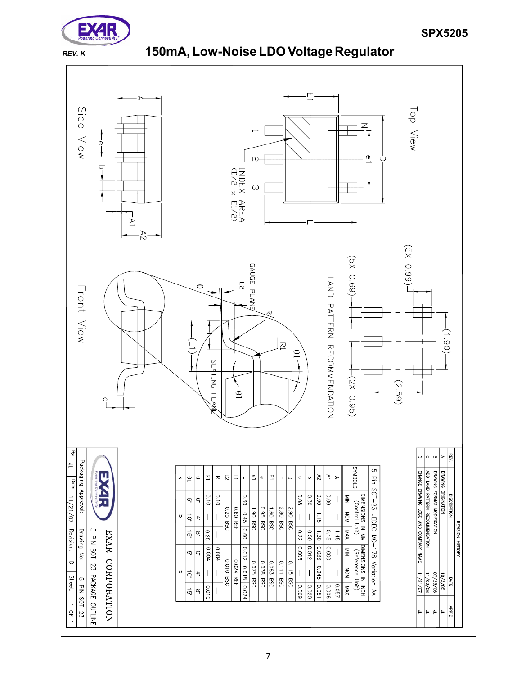